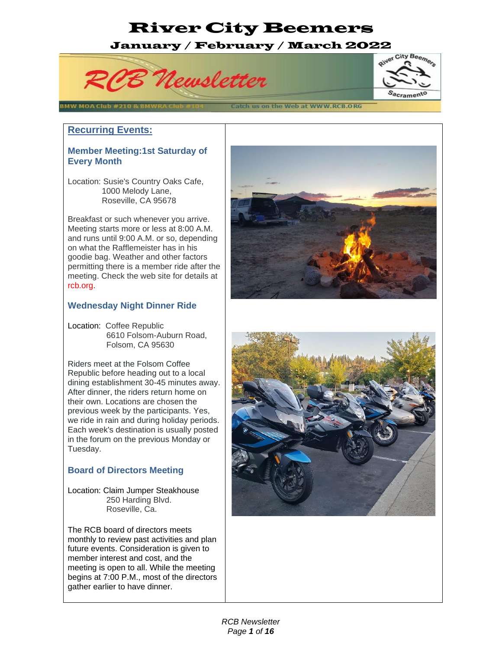# January / February / March 2022





#### Catch us on the Web at WWW.RCB.ORG

#### **Recurring Events:**

BMW MOA Club #2

#### **Member Meeting:1st Saturday of Every Month**

Location: Susie's Country Oaks Cafe, 1000 Melody Lane, Roseville, CA 95678

Breakfast or such whenever you arrive. Meeting starts more or less at 8:00 A.M. and runs until 9:00 A.M. or so, depending on what the Rafflemeister has in his goodie bag. Weather and other factors permitting there is a member ride after the meeting. Check the web site for details at rcb.org.

#### **Wednesday Night Dinner Ride**

Location: Coffee Republic 6610 Folsom-Auburn Road, Folsom, CA 95630

Riders meet at the Folsom Coffee Republic before heading out to a local dining establishment 30-45 minutes away. After dinner, the riders return home on their own. Locations are chosen the previous week by the participants. Yes, we ride in rain and during holiday periods. Each week's destination is usually posted in the forum on the previous Monday or Tuesday.

#### **Board of Directors Meeting**

Location: Claim Jumper Steakhouse 250 Harding Blvd. Roseville, Ca.

The RCB board of directors meets monthly to review past activities and plan future events. Consideration is given to member interest and cost, and the meeting is open to all. While the meeting begins at 7:00 P.M., most of the directors gather earlier to have dinner.



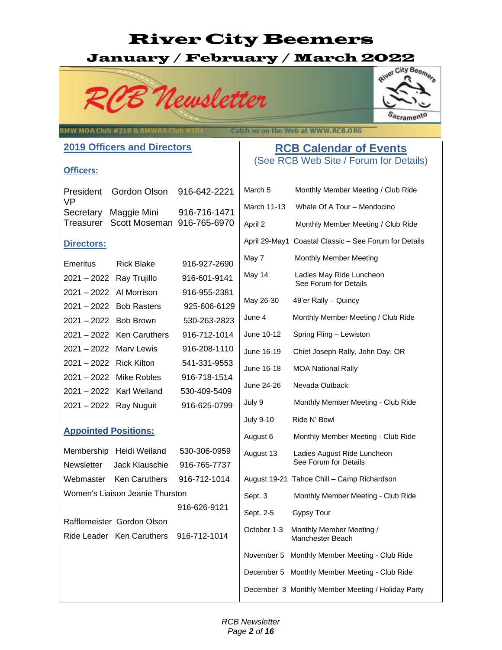# January / February / March 2022





### **BMW MOA Club #210 & BI**

Catch us on the Web at WWW.RCB.ORG

#### **RCB Calendar of Events** (See RCB Web Site / Forum for Details)

#### **2019 Officers and Directors**

#### **Officers:**

| \/P | President Gordon Olson 916-642-2221                           |              |
|-----|---------------------------------------------------------------|--------------|
|     | Secretary Maggie Mini<br>Treasurer Scott Moseman 916-765-6970 | 916-716-1471 |

#### **Directors:**

| Emeritus                 | Rick Blake                | 916-927-2690 |
|--------------------------|---------------------------|--------------|
| 2021 - 2022 Ray Trujillo |                           | 916-601-9141 |
| 2021 – 2022 Al Morrison  |                           | 916-955-2381 |
| 2021 - 2022 Bob Rasters  |                           | 925-606-6129 |
| 2021 - 2022 Bob Brown    |                           | 530-263-2823 |
|                          | 2021 - 2022 Ken Caruthers | 916-712-1014 |
| 2021 – 2022 Mary Lewis   |                           | 916-208-1110 |
| 2021 – 2022 Rick Kilton  |                           | 541-331-9553 |
| 2021 – 2022 Mike Robles  |                           | 916-718-1514 |
|                          | 2021 – 2022 Karl Weiland  | 530-409-5409 |
| 2021 - 2022 Ray Nuguit   |                           | 916-625-0799 |

#### **Appointed Positions:**

|                                 | Membership Heidi Weiland               | 530-306-0959 |  |  |
|---------------------------------|----------------------------------------|--------------|--|--|
|                                 | Newsletter Jack Klauschie 916-765-7737 |              |  |  |
|                                 | Webmaster Ken Caruthers 916-712-1014   |              |  |  |
| Women's Liaison Jeanie Thurston |                                        |              |  |  |
|                                 |                                        | 916-626-9121 |  |  |
|                                 | Rafflemeister Gordon Olson             |              |  |  |
|                                 | Ride Leader Ken Caruthers 916-712-1014 |              |  |  |
|                                 |                                        |              |  |  |
|                                 |                                        |              |  |  |

| March 5          | Monthly Member Meeting / Club Ride                    |
|------------------|-------------------------------------------------------|
| March 11-13      | Whale Of A Tour - Mendocino                           |
| April 2          | Monthly Member Meeting / Club Ride                    |
|                  | April 29-May1 Coastal Classic - See Forum for Details |
| May 7            | Monthly Member Meeting                                |
| May 14           | Ladies May Ride Luncheon<br>See Forum for Details     |
| May 26-30        | 49'er Rally - Quincy                                  |
| June 4           | Monthly Member Meeting / Club Ride                    |
| June 10-12       | Spring Fling - Lewiston                               |
| June 16-19       | Chief Joseph Rally, John Day, OR                      |
| June 16-18       | <b>MOA National Rally</b>                             |
| June 24-26       | Nevada Outback                                        |
| July 9           | Monthly Member Meeting - Club Ride                    |
| <b>July 9-10</b> | Ride N' Bowl                                          |
| August 6         | Monthly Member Meeting - Club Ride                    |
| August 13        | Ladies August Ride Luncheon<br>See Forum for Details  |
|                  | August 19-21 Tahoe Chill - Camp Richardson            |
| Sept. 3          | Monthly Member Meeting - Club Ride                    |
| Sept. 2-5        | <b>Gypsy Tour</b>                                     |
| October 1-3      | Monthly Member Meeting /<br>Manchester Beach          |
| November 5       | Monthly Member Meeting - Club Ride                    |
| December 5       | Monthly Member Meeting - Club Ride                    |
|                  | December 3 Monthly Member Meeting / Holiday Party     |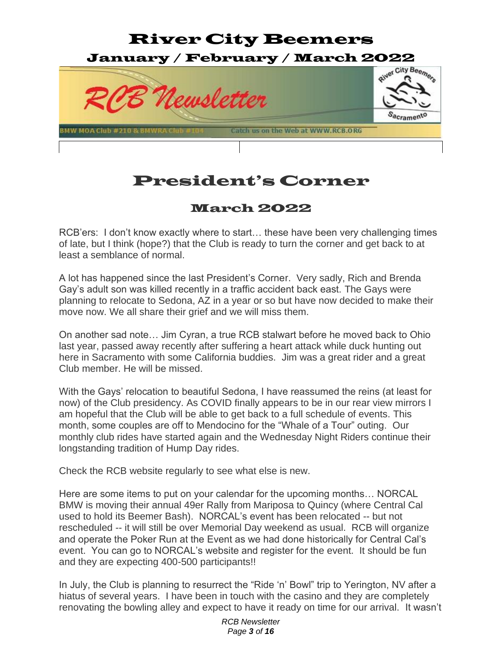

### President's Corner

#### March 2022

RCB'ers: I don't know exactly where to start… these have been very challenging times of late, but I think (hope?) that the Club is ready to turn the corner and get back to at least a semblance of normal.

A lot has happened since the last President's Corner. Very sadly, Rich and Brenda Gay's adult son was killed recently in a traffic accident back east. The Gays were planning to relocate to Sedona, AZ in a year or so but have now decided to make their move now. We all share their grief and we will miss them.

On another sad note… Jim Cyran, a true RCB stalwart before he moved back to Ohio last year, passed away recently after suffering a heart attack while duck hunting out here in Sacramento with some California buddies. Jim was a great rider and a great Club member. He will be missed.

With the Gays' relocation to beautiful Sedona, I have reassumed the reins (at least for now) of the Club presidency. As COVID finally appears to be in our rear view mirrors I am hopeful that the Club will be able to get back to a full schedule of events. This month, some couples are off to Mendocino for the "Whale of a Tour" outing. Our monthly club rides have started again and the Wednesday Night Riders continue their longstanding tradition of Hump Day rides.

Check the RCB website regularly to see what else is new.

Here are some items to put on your calendar for the upcoming months… NORCAL BMW is moving their annual 49er Rally from Mariposa to Quincy (where Central Cal used to hold its Beemer Bash). NORCAL's event has been relocated -- but not rescheduled -- it will still be over Memorial Day weekend as usual. RCB will organize and operate the Poker Run at the Event as we had done historically for Central Cal's event. You can go to NORCAL's website and register for the event. It should be fun and they are expecting 400-500 participants!!

In July, the Club is planning to resurrect the "Ride 'n' Bowl" trip to Yerington, NV after a hiatus of several years. I have been in touch with the casino and they are completely renovating the bowling alley and expect to have it ready on time for our arrival. It wasn't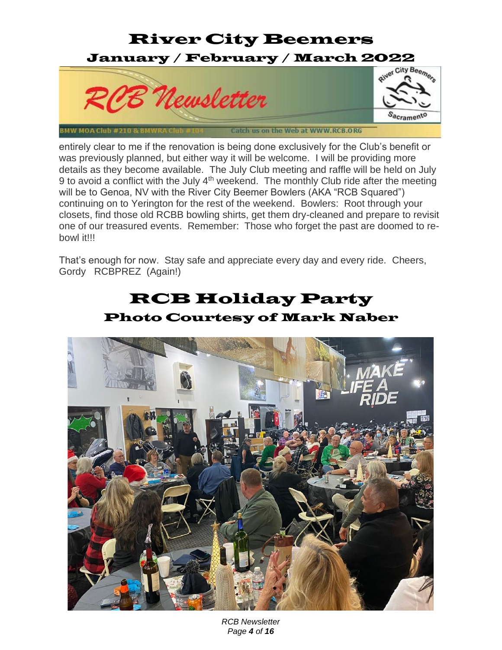#### River City Beemers January / February / March 2022 River City Beemers PB Newsletter S<sub>acrament</sub>o Catch us on the Web at WWW.RCB.ORG BMW MOA Club #210

entirely clear to me if the renovation is being done exclusively for the Club's benefit or was previously planned, but either way it will be welcome. I will be providing more details as they become available. The July Club meeting and raffle will be held on July 9 to avoid a conflict with the July  $4<sup>th</sup>$  weekend. The monthly Club ride after the meeting will be to Genoa, NV with the River City Beemer Bowlers (AKA "RCB Squared") continuing on to Yerington for the rest of the weekend. Bowlers: Root through your closets, find those old RCBB bowling shirts, get them dry-cleaned and prepare to revisit one of our treasured events. Remember: Those who forget the past are doomed to rebowl it!!!

That's enough for now. Stay safe and appreciate every day and every ride. Cheers, Gordy RCBPREZ (Again!)

### RCB Holiday Party Photo Courtesy of Mark Naber



*RCB Newsletter Page 4 of 16*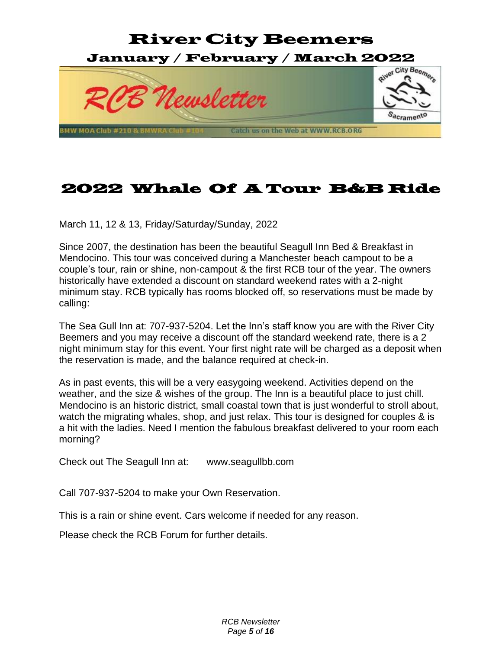

### 2022 Whale Of A Tour B&B Ride

March 11, 12 & 13, Friday/Saturday/Sunday, 2022

Since 2007, the destination has been the beautiful Seagull Inn Bed & Breakfast in Mendocino. This tour was conceived during a Manchester beach campout to be a couple's tour, rain or shine, non-campout & the first RCB tour of the year. The owners historically have extended a discount on standard weekend rates with a 2-night minimum stay. RCB typically has rooms blocked off, so reservations must be made by calling:

The Sea Gull Inn at: 707-937-5204. Let the Inn's staff know you are with the River City Beemers and you may receive a discount off the standard weekend rate, there is a 2 night minimum stay for this event. Your first night rate will be charged as a deposit when the reservation is made, and the balance required at check-in.

As in past events, this will be a very easygoing weekend. Activities depend on the weather, and the size & wishes of the group. The Inn is a beautiful place to just chill. Mendocino is an historic district, small coastal town that is just wonderful to stroll about, watch the migrating whales, shop, and just relax. This tour is designed for couples & is a hit with the ladies. Need I mention the fabulous breakfast delivered to your room each morning?

Check out The Seagull Inn at: www.seagullbb.com

Call 707-937-5204 to make your Own Reservation.

This is a rain or shine event. Cars welcome if needed for any reason.

Please check the RCB Forum for further details.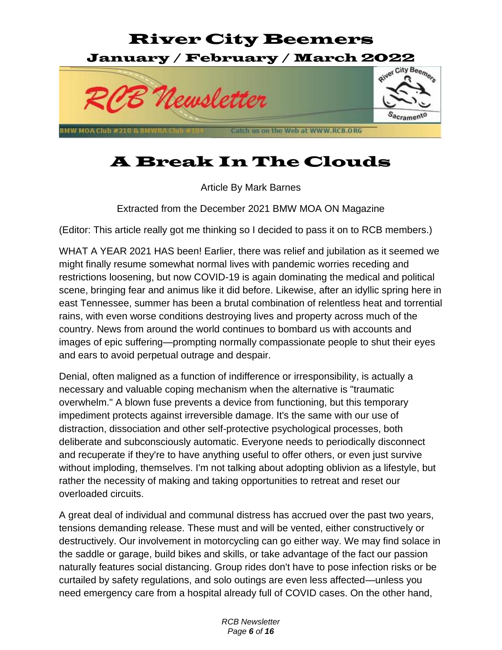

## A Break In The Clouds

Article By Mark Barnes

Extracted from the December 2021 BMW MOA ON Magazine

(Editor: This article really got me thinking so I decided to pass it on to RCB members.)

WHAT A YEAR 2021 HAS been! Earlier, there was relief and jubilation as it seemed we might finally resume somewhat normal lives with pandemic worries receding and restrictions loosening, but now COVID-19 is again dominating the medical and political scene, bringing fear and animus like it did before. Likewise, after an idyllic spring here in east Tennessee, summer has been a brutal combination of relentless heat and torrential rains, with even worse conditions destroying lives and property across much of the country. News from around the world continues to bombard us with accounts and images of epic suffering—prompting normally compassionate people to shut their eyes and ears to avoid perpetual outrage and despair.

Denial, often maligned as a function of indifference or irresponsibility, is actually a necessary and valuable coping mechanism when the alternative is "traumatic overwhelm." A blown fuse prevents a device from functioning, but this temporary impediment protects against irreversible damage. It's the same with our use of distraction, dissociation and other self-protective psychological processes, both deliberate and subconsciously automatic. Everyone needs to periodically disconnect and recuperate if they're to have anything useful to offer others, or even just survive without imploding, themselves. I'm not talking about adopting oblivion as a lifestyle, but rather the necessity of making and taking opportunities to retreat and reset our overloaded circuits.

A great deal of individual and communal distress has accrued over the past two years, tensions demanding release. These must and will be vented, either constructively or destructively. Our involvement in motorcycling can go either way. We may find solace in the saddle or garage, build bikes and skills, or take advantage of the fact our passion naturally features social distancing. Group rides don't have to pose infection risks or be curtailed by safety regulations, and solo outings are even less affected—unless you need emergency care from a hospital already full of COVID cases. On the other hand,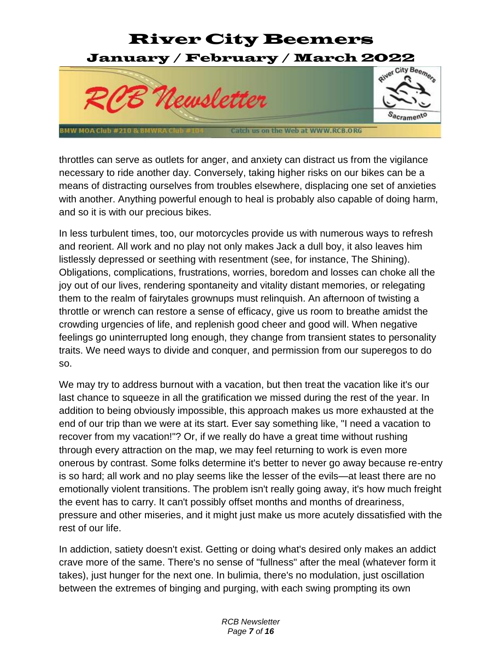

throttles can serve as outlets for anger, and anxiety can distract us from the vigilance necessary to ride another day. Conversely, taking higher risks on our bikes can be a means of distracting ourselves from troubles elsewhere, displacing one set of anxieties with another. Anything powerful enough to heal is probably also capable of doing harm, and so it is with our precious bikes.

In less turbulent times, too, our motorcycles provide us with numerous ways to refresh and reorient. All work and no play not only makes Jack a dull boy, it also leaves him listlessly depressed or seething with resentment (see, for instance, The Shining). Obligations, complications, frustrations, worries, boredom and losses can choke all the joy out of our lives, rendering spontaneity and vitality distant memories, or relegating them to the realm of fairytales grownups must relinquish. An afternoon of twisting a throttle or wrench can restore a sense of efficacy, give us room to breathe amidst the crowding urgencies of life, and replenish good cheer and good will. When negative feelings go uninterrupted long enough, they change from transient states to personality traits. We need ways to divide and conquer, and permission from our superegos to do so.

We may try to address burnout with a vacation, but then treat the vacation like it's our last chance to squeeze in all the gratification we missed during the rest of the year. In addition to being obviously impossible, this approach makes us more exhausted at the end of our trip than we were at its start. Ever say something like, "I need a vacation to recover from my vacation!"? Or, if we really do have a great time without rushing through every attraction on the map, we may feel returning to work is even more onerous by contrast. Some folks determine it's better to never go away because re-entry is so hard; all work and no play seems like the lesser of the evils—at least there are no emotionally violent transitions. The problem isn't really going away, it's how much freight the event has to carry. It can't possibly offset months and months of dreariness, pressure and other miseries, and it might just make us more acutely dissatisfied with the rest of our life.

In addiction, satiety doesn't exist. Getting or doing what's desired only makes an addict crave more of the same. There's no sense of "fullness" after the meal (whatever form it takes), just hunger for the next one. In bulimia, there's no modulation, just oscillation between the extremes of binging and purging, with each swing prompting its own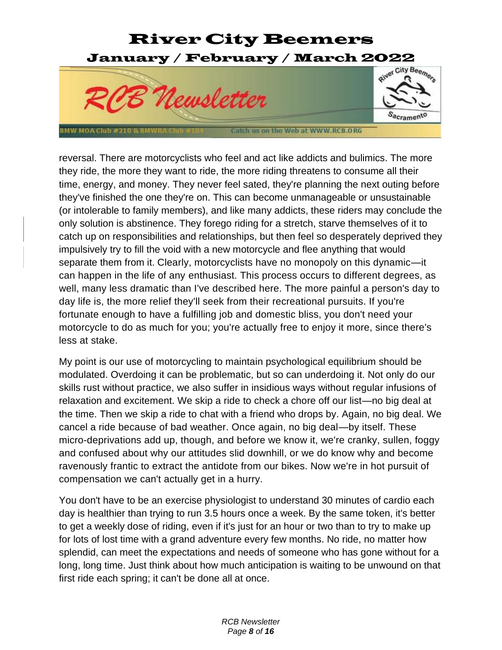

reversal. There are motorcyclists who feel and act like addicts and bulimics. The more they ride, the more they want to ride, the more riding threatens to consume all their time, energy, and money. They never feel sated, they're planning the next outing before they've finished the one they're on. This can become unmanageable or unsustainable (or intolerable to family members), and like many addicts, these riders may conclude the only solution is abstinence. They forego riding for a stretch, starve themselves of it to catch up on responsibilities and relationships, but then feel so desperately deprived they impulsively try to fill the void with a new motorcycle and flee anything that would separate them from it. Clearly, motorcyclists have no monopoly on this dynamic—it can happen in the life of any enthusiast. This process occurs to different degrees, as well, many less dramatic than I've described here. The more painful a person's day to day life is, the more relief they'll seek from their recreational pursuits. If you're fortunate enough to have a fulfilling job and domestic bliss, you don't need your motorcycle to do as much for you; you're actually free to enjoy it more, since there's less at stake.

My point is our use of motorcycling to maintain psychological equilibrium should be modulated. Overdoing it can be problematic, but so can underdoing it. Not only do our skills rust without practice, we also suffer in insidious ways without regular infusions of relaxation and excitement. We skip a ride to check a chore off our list—no big deal at the time. Then we skip a ride to chat with a friend who drops by. Again, no big deal. We cancel a ride because of bad weather. Once again, no big deal—by itself. These micro-deprivations add up, though, and before we know it, we're cranky, sullen, foggy and confused about why our attitudes slid downhill, or we do know why and become ravenously frantic to extract the antidote from our bikes. Now we're in hot pursuit of compensation we can't actually get in a hurry.

You don't have to be an exercise physiologist to understand 30 minutes of cardio each day is healthier than trying to run 3.5 hours once a week. By the same token, it's better to get a weekly dose of riding, even if it's just for an hour or two than to try to make up for lots of lost time with a grand adventure every few months. No ride, no matter how splendid, can meet the expectations and needs of someone who has gone without for a long, long time. Just think about how much anticipation is waiting to be unwound on that first ride each spring; it can't be done all at once.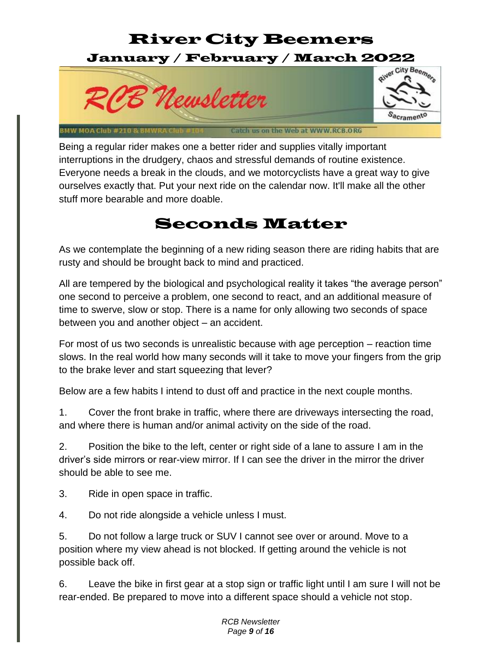## River City Beemers January / February / March 2022



Being a regular rider makes one a better rider and supplies vitally important interruptions in the drudgery, chaos and stressful demands of routine existence. Everyone needs a break in the clouds, and we motorcyclists have a great way to give ourselves exactly that. Put your next ride on the calendar now. It'll make all the other stuff more bearable and more doable.

### Seconds Matter

As we contemplate the beginning of a new riding season there are riding habits that are rusty and should be brought back to mind and practiced.

All are tempered by the biological and psychological reality it takes "the average person" one second to perceive a problem, one second to react, and an additional measure of time to swerve, slow or stop. There is a name for only allowing two seconds of space between you and another object – an accident.

For most of us two seconds is unrealistic because with age perception – reaction time slows. In the real world how many seconds will it take to move your fingers from the grip to the brake lever and start squeezing that lever?

Below are a few habits I intend to dust off and practice in the next couple months.

1. Cover the front brake in traffic, where there are driveways intersecting the road, and where there is human and/or animal activity on the side of the road.

2. Position the bike to the left, center or right side of a lane to assure I am in the driver's side mirrors or rear-view mirror. If I can see the driver in the mirror the driver should be able to see me.

3. Ride in open space in traffic.

4. Do not ride alongside a vehicle unless I must.

5. Do not follow a large truck or SUV I cannot see over or around. Move to a position where my view ahead is not blocked. If getting around the vehicle is not possible back off.

6. Leave the bike in first gear at a stop sign or traffic light until I am sure I will not be rear-ended. Be prepared to move into a different space should a vehicle not stop.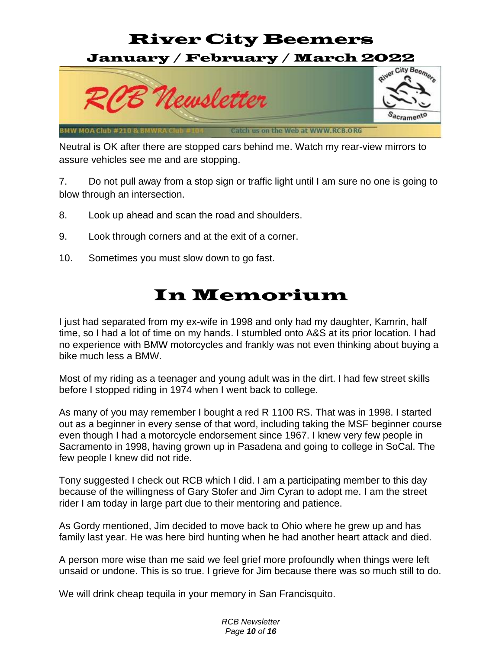### River City Beemers January / February / March 2022



Neutral is OK after there are stopped cars behind me. Watch my rear-view mirrors to assure vehicles see me and are stopping.

7. Do not pull away from a stop sign or traffic light until I am sure no one is going to blow through an intersection.

- 8. Look up ahead and scan the road and shoulders.
- 9. Look through corners and at the exit of a corner.
- 10. Sometimes you must slow down to go fast.

## In Memorium

I just had separated from my ex-wife in 1998 and only had my daughter, Kamrin, half time, so I had a lot of time on my hands. I stumbled onto A&S at its prior location. I had no experience with BMW motorcycles and frankly was not even thinking about buying a bike much less a BMW.

Most of my riding as a teenager and young adult was in the dirt. I had few street skills before I stopped riding in 1974 when I went back to college.

As many of you may remember I bought a red R 1100 RS. That was in 1998. I started out as a beginner in every sense of that word, including taking the MSF beginner course even though I had a motorcycle endorsement since 1967. I knew very few people in Sacramento in 1998, having grown up in Pasadena and going to college in SoCal. The few people I knew did not ride.

Tony suggested I check out RCB which I did. I am a participating member to this day because of the willingness of Gary Stofer and Jim Cyran to adopt me. I am the street rider I am today in large part due to their mentoring and patience.

As Gordy mentioned, Jim decided to move back to Ohio where he grew up and has family last year. He was here bird hunting when he had another heart attack and died.

A person more wise than me said we feel grief more profoundly when things were left unsaid or undone. This is so true. I grieve for Jim because there was so much still to do.

We will drink cheap tequila in your memory in San Francisquito.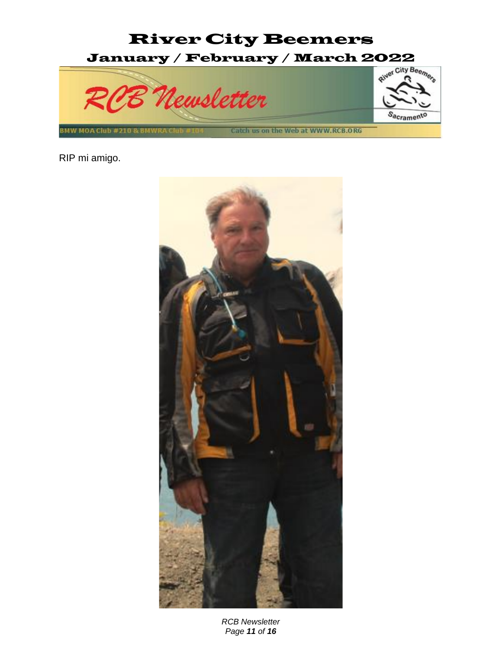

RIP mi amigo.



*RCB Newsletter Page 11 of 16*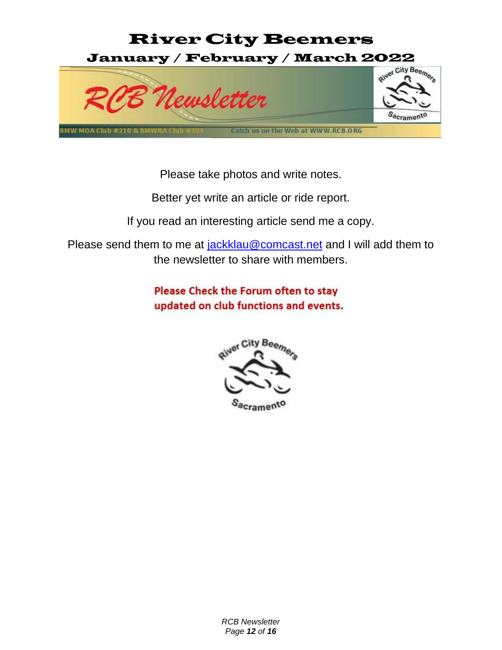

Please take photos and write notes.

Better yet write an article or ride report.

If you read an interesting article send me a copy.

Please send them to me at [jackklau@comcast.net](mailto:jackklau@comcast.net) and I will add them to the newsletter to share with members.

> **Please Check the Forum often to stay** updated on club functions and events.



S<sub>acrame</sub>n'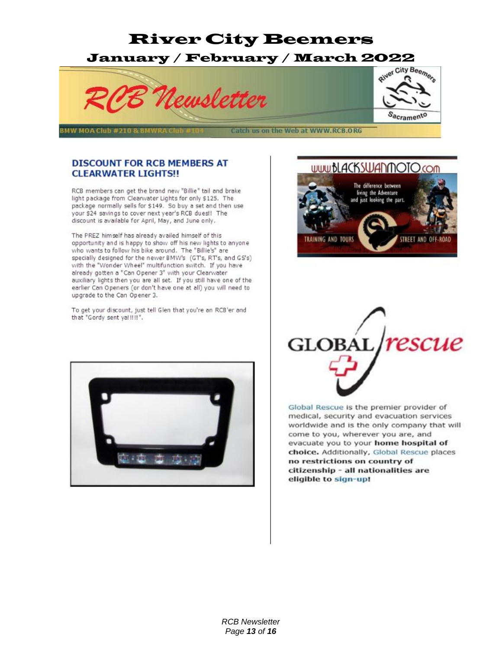

BMW MOA Club #210 &

Catch us on the Web at WWW.RCB.ORG

#### **DISCOUNT FOR RCB MEMBERS AT CLEARWATER LIGHTS!!**

RCB members can get the brand new "Billie" tail and brake light package from Clearwater Lights for only \$125. The package normally sells for \$149. So buy a set and then use your \$24 savings to cover next year's RCB dues!! The discount is available for April, May, and June only.

The PREZ himself has already availed himself of this opportunity and is happy to show off his new lights to anyone who wants to follow his bike around. The "Billie's" are specially designed for the newer BMW's (GT's, RT's, and GS's) with the "Wonder Wheel" multifunction switch. If you have already gotten a "Can Opener 3" with your Clearwater auxiliary lights then you are all set. If you still have one of the earlier Can Openers (or don't have one at all) you will need to upgrade to the Can Opener 3.

To get your discount, just tell Glen that you're an RCB'er and that "Gordy sent yal !!!!".



#### www.bLACKSWANMOTO.com

S<sub>acrament</sub>o





Global Rescue is the premier provider of medical, security and evacuation services worldwide and is the only company that will come to you, wherever you are, and evacuate you to your home hospital of choice. Additionally, Global Rescue places no restrictions on country of citizenship - all nationalities are eligible to sign-up!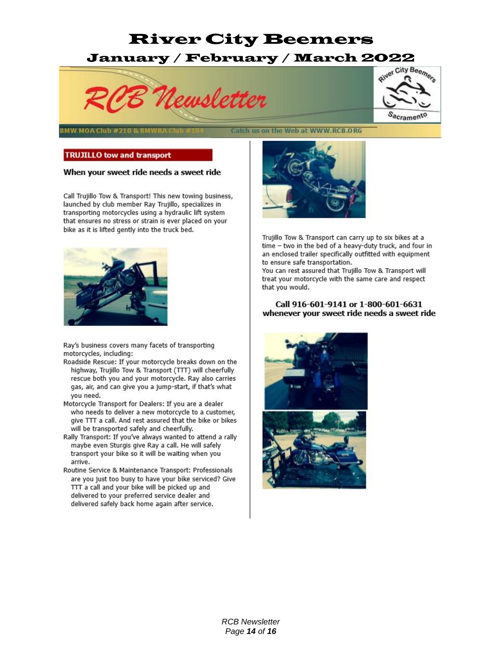# January / February / March 2022



BMW MOA Club #210

Catch us on the Web at WWW.RCB.ORG

#### **TRUJILLO tow and transport**

#### When your sweet ride needs a sweet ride

Call Trujillo Tow & Transport! This new towing business, launched by club member Ray Trujillo, specializes in transporting motorcycles using a hydraulic lift system that ensures no stress or strain is ever placed on your bike as it is lifted gently into the truck bed.



Ray's business covers many facets of transporting motorcycles, including:

- Roadside Rescue: If your motorcycle breaks down on the highway, Trujillo Tow & Transport (TTT) will cheerfully rescue both you and your motorcycle. Ray also carries gas, air, and can give you a jump-start, if that's what you need.
- Motorcycle Transport for Dealers: If you are a dealer who needs to deliver a new motorcycle to a customer, give TTT a call. And rest assured that the bike or bikes will be transported safely and cheerfully.
- Rally Transport: If you've always wanted to attend a rally maybe even Sturgis give Ray a call. He will safely transport your bike so it will be waiting when you arrive.
- Routine Service & Maintenance Transport: Professionals are you just too busy to have your bike serviced? Give TTT a call and your bike will be picked up and delivered to your preferred service dealer and delivered safely back home again after service.



Trujillo Tow & Transport can carry up to six bikes at a time - two in the bed of a heavy-duty truck, and four in an enclosed trailer specifically outfitted with equipment to ensure safe transportation.

You can rest assured that Trujillo Tow & Transport will treat your motorcycle with the same care and respect that you would.

#### Call 916-601-9141 or 1-800-601-6631 whenever your sweet ride needs a sweet ride



S<sub>acrament</sub>o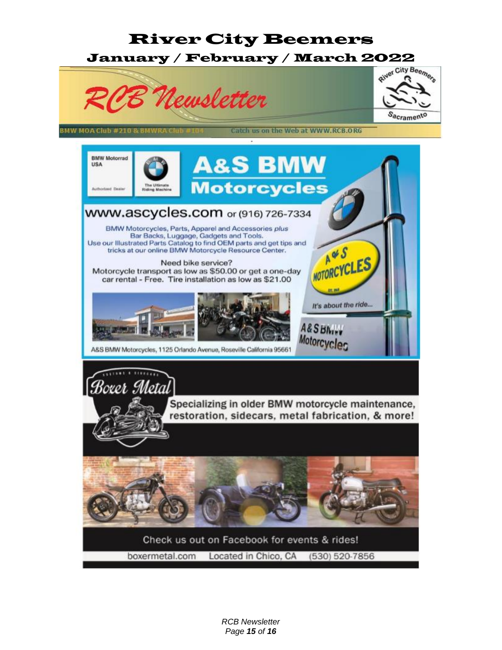

*RCB Newsletter Page 15 of 16*